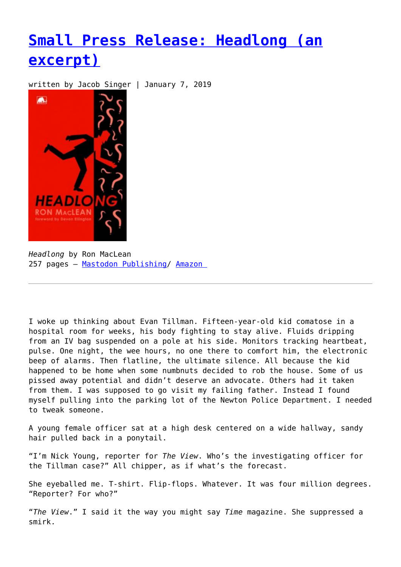## **[Small Press Release: Headlong \(an](https://entropymag.org/small-press-release-headlong-an-excerpt/) [excerpt\)](https://entropymag.org/small-press-release-headlong-an-excerpt/)**

written by Jacob Singer | January 7, 2019



*Headlong* by Ron MacLean 257 pages – [Mastodon Publishing/](https://www.mastodonpublishing.com/shop/headlong/) [Amazon](https://amzn.to/2RycscZ) 

I woke up thinking about Evan Tillman. Fifteen-year-old kid comatose in a hospital room for weeks, his body fighting to stay alive. Fluids dripping from an IV bag suspended on a pole at his side. Monitors tracking heartbeat, pulse. One night, the wee hours, no one there to comfort him, the electronic beep of alarms. Then flatline, the ultimate silence. All because the kid happened to be home when some numbnuts decided to rob the house. Some of us pissed away potential and didn't deserve an advocate. Others had it taken from them. I was supposed to go visit my failing father. Instead I found myself pulling into the parking lot of the Newton Police Department. I needed to tweak someone.

A young female officer sat at a high desk centered on a wide hallway, sandy hair pulled back in a ponytail.

"I'm Nick Young, reporter for *The View*. Who's the investigating officer for the Tillman case?" All chipper, as if what's the forecast.

She eyeballed me. T-shirt. Flip-flops. Whatever. It was four million degrees. "Reporter? For who?"

"*The View*." I said it the way you might say *Time* magazine. She suppressed a smirk.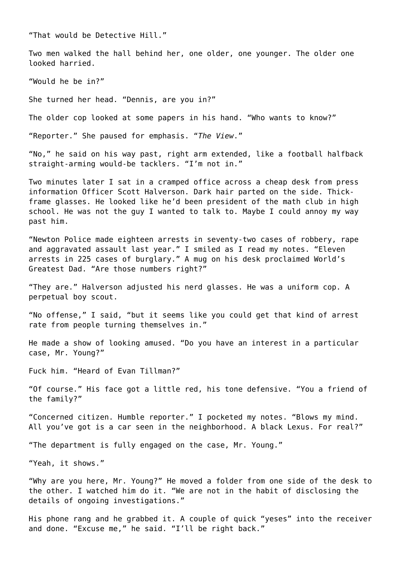"That would be Detective Hill."

Two men walked the hall behind her, one older, one younger. The older one looked harried.

"Would he be in?"

She turned her head. "Dennis, are you in?"

The older cop looked at some papers in his hand. "Who wants to know?"

"Reporter." She paused for emphasis. "*The View*."

"No," he said on his way past, right arm extended, like a football halfback straight-arming would-be tacklers. "I'm not in."

Two minutes later I sat in a cramped office across a cheap desk from press information Officer Scott Halverson. Dark hair parted on the side. Thickframe glasses. He looked like he'd been president of the math club in high school. He was not the guy I wanted to talk to. Maybe I could annoy my way past him.

"Newton Police made eighteen arrests in seventy-two cases of robbery, rape and aggravated assault last year." I smiled as I read my notes. "Eleven arrests in 225 cases of burglary." A mug on his desk proclaimed World's Greatest Dad. "Are those numbers right?"

"They are." Halverson adjusted his nerd glasses. He was a uniform cop. A perpetual boy scout.

"No offense," I said, "but it seems like you could get that kind of arrest rate from people turning themselves in."

He made a show of looking amused. "Do you have an interest in a particular case, Mr. Young?"

Fuck him. "Heard of Evan Tillman?"

"Of course." His face got a little red, his tone defensive. "You a friend of the family?"

"Concerned citizen. Humble reporter." I pocketed my notes. "Blows my mind. All you've got is a car seen in the neighborhood. A black Lexus. For real?"

"The department is fully engaged on the case, Mr. Young."

"Yeah, it shows."

"Why are you here, Mr. Young?" He moved a folder from one side of the desk to the other. I watched him do it. "We are not in the habit of disclosing the details of ongoing investigations."

His phone rang and he grabbed it. A couple of quick "yeses" into the receiver and done. "Excuse me," he said. "I'll be right back."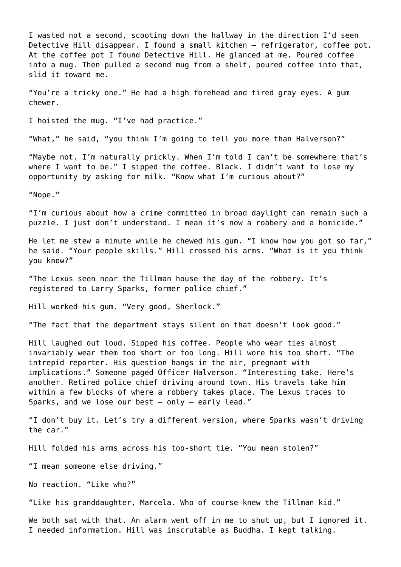I wasted not a second, scooting down the hallway in the direction I'd seen Detective Hill disappear. I found a small kitchen – refrigerator, coffee pot. At the coffee pot I found Detective Hill. He glanced at me. Poured coffee into a mug. Then pulled a second mug from a shelf, poured coffee into that, slid it toward me.

"You're a tricky one." He had a high forehead and tired gray eyes. A gum chewer.

I hoisted the mug. "I've had practice."

"What," he said, "you think I'm going to tell you more than Halverson?"

"Maybe not. I'm naturally prickly. When I'm told I can't be somewhere that's where I want to be." I sipped the coffee. Black. I didn't want to lose my opportunity by asking for milk. "Know what I'm curious about?"

"Nope."

"I'm curious about how a crime committed in broad daylight can remain such a puzzle. I just don't understand. I mean it's now a robbery and a homicide."

He let me stew a minute while he chewed his gum. "I know how you got so far," he said. "Your people skills." Hill crossed his arms. "What is it you think you know?"

"The Lexus seen near the Tillman house the day of the robbery. It's registered to Larry Sparks, former police chief."

Hill worked his gum. "Very good, Sherlock."

"The fact that the department stays silent on that doesn't look good."

Hill laughed out loud. Sipped his coffee. People who wear ties almost invariably wear them too short or too long. Hill wore his too short. "The intrepid reporter. His question hangs in the air, pregnant with implications." Someone paged Officer Halverson. "Interesting take. Here's another. Retired police chief driving around town. His travels take him within a few blocks of where a robbery takes place. The Lexus traces to Sparks, and we lose our best – only – early lead."

"I don't buy it. Let's try a different version, where Sparks wasn't driving the car."

Hill folded his arms across his too-short tie. "You mean stolen?"

"I mean someone else driving."

No reaction. "Like who?"

"Like his granddaughter, Marcela. Who of course knew the Tillman kid."

We both sat with that. An alarm went off in me to shut up, but I ignored it. I needed information. Hill was inscrutable as Buddha. I kept talking.